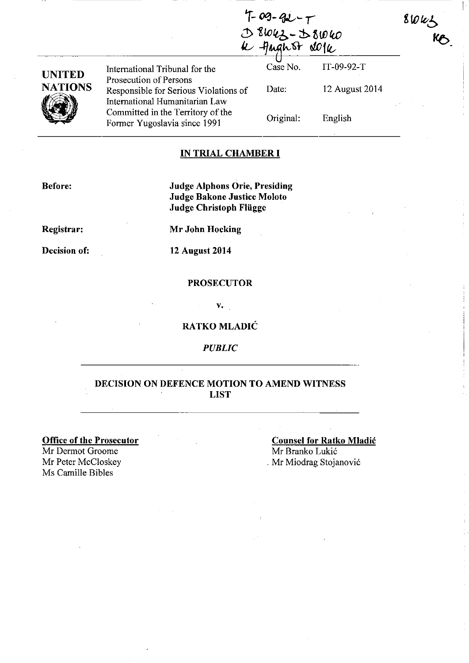$4-09-92-7$  $0.8042 - 58040$ <sup>~</sup>*-¥J1"'br* **aWff&** 

| UNITED  |
|---------|
| NATIONS |
|         |
|         |

Prosecution of Persons Responsible for Serious Violations of International Humanitarian Law Committed in the Territory of the Former Yugoslavia since 1991

International Tribunal for the Case No. IT-09-92-T

Date:

Original:

English

12 August 2014

 $8043$ 

#### **IN TRIAL CHAMBER I**

**Before:** 

**Judge Alphons Orie, Presiding Judge Bakone Justice Moloto Judge Christoph Fliigge** 

**Registrar:** 

**Decision of:** 

**Mr John Hocking** 

**12 August 2014** 

#### **PROSECUTOR**

v.

#### **RA TKO MLADIC**

*PUBLIC* 

#### **DECISION ON DEFENCE MOTION TO AMEND WITNESS LIST**

**Office of the Prosecutor** 

Mr Dermot Groome<br>Mr Peter McCloskey Ms Camille Bibles

**Counsel for Ratko Mladic**  Mr Branko Lukic . Mr Miodrag Stojanović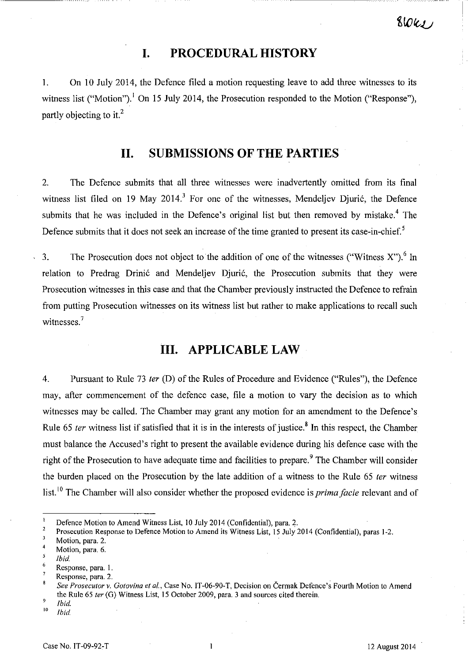### **I. PROCEDURAL HISTORY**

1. On 10 July 2014, the Defence filed a motion requesting leave to add three witnesses to its witness list ("Motion").<sup>1</sup> On 15 July 2014, the Prosecution responded to the Motion ("Response"), partly objecting to it.<sup>2</sup>

### **II. SUBMISSIONS OF THE PARTIES**

2. The Defence submits that all three witnesses were inadvertently omitted from its final witness list filed on 19 May 2014.<sup>3</sup> For one of the witnesses, Mendeljev Djurić, the Defence submits that he was included in the Defence's original list but then removed by mistake.<sup>4</sup> The Defence submits that it does not seek an increase of the time granted to present its case-in-chief.<sup>5</sup>

3. The Prosecution does not object to the addition of one of the witnesses ("Witness  $X$ ").<sup>6</sup> In relation to Predrag Drinić and Mendeljev Djurić, the Prosecution submits that they were Prosecution witnesses in this case and that the Chamber previously instructed the Defence to refrain from putting Prosecution witnesses on its witness list but rather to make applications to recall such witnesses.<sup>7</sup>

## **III. APPLICABLE LAW**

4. Pursuant to Rule 73 *ler* (D) of the Rules of Procedure and Evidence ("Rules"), the Defence may, after commencement of the defence case, file a motion to vary the decision as to which witnesses may be called. The Chamber may grant any motion for an amendment to the Defence's Rule 65 *ter* witness list if satisfied that it is in the interests of justice.<sup>8</sup> In this respect, the Chamber must balance the Accused's right to present the available evidence during his defence case with the right of the Prosecution to have adequate time and facilities to prepare.<sup>9</sup> The Chamber will consider the burden placed on the Prosecution by the late addition of a witness to the Rule 65 *ler* witness list, 10 The Chamber will also consider whether the proposed evidence is *prima facie* relevant and of

5 *Ibid.* 

Defence Motion to Amend Witness List, 10 July 2014 (Confidential), para. 2.<br>Prosecution Response to Defence Motion to Amend its Witness List, 15 July 2014 (Confidential), paras 1-2.

Motion, para. 2.

 $\overline{4}$ Motion, para. 6.

<sup>6</sup> Response, para. I.

Response, para. 2.

*See Prosecutor v. Gotovina ef 01.,* Case No. IT-06-90-T, Decision on Cermak Defence's Fourth Motion to Amend the Rule 65 *ter* (G) Witness List, 15 October 2009, para. 3 and sources cited therein.

 $\int_{10}^{9}$  *Ibid.* 

<sup>10</sup>*Ihid.*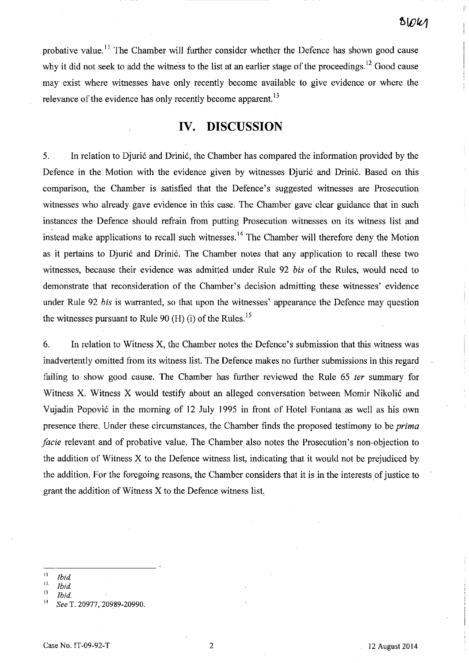probative value.<sup>11</sup> The Chamber will further consider whether the Defence has shown good cause why it did not seek to add the witness to the list at an earlier stage of the proceedings.<sup>12</sup> Good cause may exist where witnesses have only recently become available to give evidence or where the relevance of the evidence has only recently become apparent.<sup>13</sup>

### **IV. DISCUSSION**

5. In relation to Djuric and Drinic, the Chamber has compared the information provided by the Defence in the Motion with the evidence given by witnesses Djuric and Drinic. Based on this comparison, the Chamber is satisfied that the Defence's suggested witnesses are Prosecution witnesses who already gave evidence in this case. The Chamber gave clear guidance that in such instances the Defence should refrain from putting Prosecution witnesses on its witness list and instead make applications to recall such witnesses.<sup>14</sup> The Chamber will therefore deny the Motion as it pertains to Djurić and Drinić. The Chamber notes that any application to recall these two witnesses, because their evidence was admitted under Rule 92 *bis* of the Rules, would need to demonstrate that reconsideration of the Chamber's decision admitting these witnesses' evidence under Rule 92 *bis* is warranted, so that upon the witnesses' appearance the Defence may question the witnesses pursuant to Rule 90 (H) (i) of the Rules.<sup>15</sup>

6. In relation to Witness X, the Chamber notes the Defence's submission that this witness was inadvertently omitted from its witness list. The Defence makes no further submissions in this regard failing to show good cause. The Chamber has further reviewed the Rule 65 *ler* summary for Witness X. Witness X would testify about an alleged conversation between Momir Nikolic and Vujadin Popovic in the morning of 12 July 1995 in front of Hotel Fontana as well as his own presence there. Under these circumstances, the Chamber finds the proposed testimony to be *prima facie* relevant and of probative value. The Chamber also notes the Prosecution's non-objection to the addition of Witness X to the Defence witness list, indicating that it would not be prejudiced by the addition. For the foregoing reasons, the Chamber considers that it is in the interests of justice to grant the addition of Witness X to the Defence witness list.

 $\frac{11}{12}$  *[bid. Ibid.* 

 $\frac{12}{13}$  *Ibid.* 

<sup>13</sup>*Ibid.* 

<sup>14</sup>*See* T. 20977, 20989-20990.